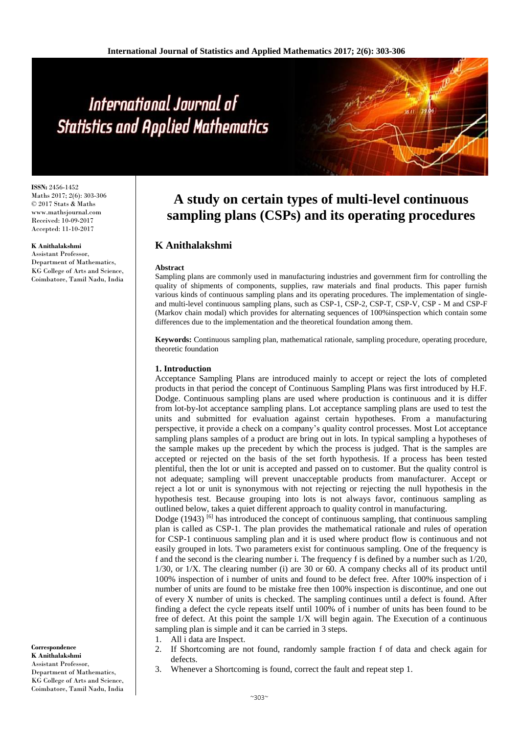# International Journal of **Statistics and Applied Mathematics**

**ISSN:** 2456-1452 Maths 2017; 2(6): 303-306 © 2017 Stats & Maths www.mathsjournal.com Received: 10-09-2017 Accepted: 11-10-2017

#### **K Anithalakshmi**

Assistant Professor, Department of Mathematics, KG College of Arts and Science, Coimbatore, Tamil Nadu, India

**Correspondence K Anithalakshmi** Assistant Professor, Department of Mathematics, KG College of Arts and Science. Coimbatore, Tamil Nadu, India

# **A study on certain types of multi-level continuous sampling plans (CSPs) and its operating procedures**

# **K Anithalakshmi**

#### **Abstract**

Sampling plans are commonly used in manufacturing industries and government firm for controlling the quality of shipments of components, supplies, raw materials and final products. This paper furnish various kinds of continuous sampling plans and its operating procedures. The implementation of singleand multi-level continuous sampling plans, such as CSP-1, CSP-2, CSP-T, CSP-V, CSP - M and CSP-F (Markov chain modal) which provides for alternating sequences of 100%inspection which contain some differences due to the implementation and the theoretical foundation among them.

**Keywords:** Continuous sampling plan, mathematical rationale, sampling procedure, operating procedure, theoretic foundation

#### **1. Introduction**

Acceptance Sampling Plans are introduced mainly to accept or reject the lots of completed products in that period the concept of Continuous Sampling Plans was first introduced by H.F. Dodge. Continuous sampling plans are used where production is continuous and it is differ from lot-by-lot acceptance sampling plans. Lot acceptance sampling plans are used to test the units and submitted for evaluation against certain hypotheses. From a manufacturing perspective, it provide a check on a company's quality control processes. Most Lot acceptance sampling plans samples of a product are bring out in lots. In typical sampling a hypotheses of the sample makes up the precedent by which the process is judged. That is the samples are accepted or rejected on the basis of the set forth hypothesis. If a process has been tested plentiful, then the lot or unit is accepted and passed on to customer. But the quality control is not adequate; sampling will prevent unacceptable products from manufacturer. Accept or reject a lot or unit is synonymous with not rejecting or rejecting the null hypothesis in the hypothesis test. Because grouping into lots is not always favor, continuous sampling as outlined below, takes a quiet different approach to quality control in manufacturing.

Dodge  $(1943)$  [6] has introduced the concept of continuous sampling, that continuous sampling plan is called as CSP-1. The plan provides the mathematical rationale and rules of operation for CSP-1 continuous sampling plan and it is used where product flow is continuous and not easily grouped in lots. Two parameters exist for continuous sampling. One of the frequency is f and the second is the clearing number i. The frequency f is defined by a number such as 1/20,  $1/30$ , or  $1/X$ . The clearing number (i) are 30 or 60. A company checks all of its product until 100% inspection of i number of units and found to be defect free. After 100% inspection of i number of units are found to be mistake free then 100% inspection is discontinue, and one out of every X number of units is checked. The sampling continues until a defect is found. After finding a defect the cycle repeats itself until 100% of i number of units has been found to be free of defect. At this point the sample 1/X will begin again. The Execution of a continuous sampling plan is simple and it can be carried in 3 steps.

1. All i data are Inspect.

- 2. If Shortcoming are not found, randomly sample fraction f of data and check again for defects.
- 3. Whenever a Shortcoming is found, correct the fault and repeat step 1.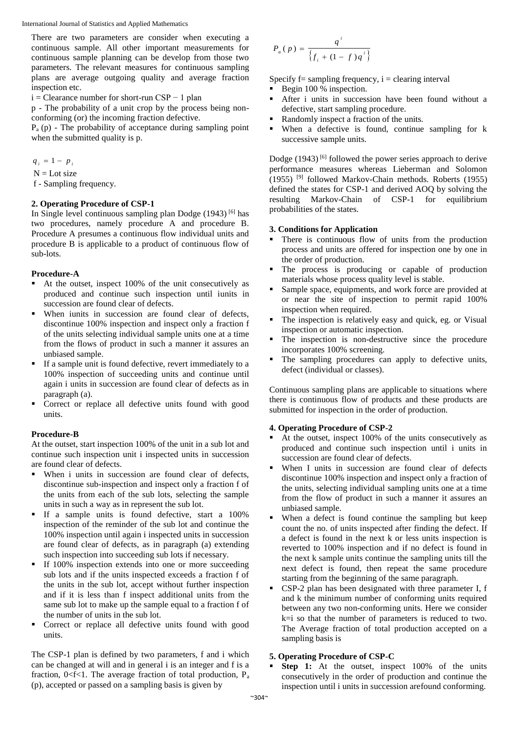There are two parameters are consider when executing a continuous sample. All other important measurements for continuous sample planning can be develop from those two parameters. The relevant measures for continuous sampling plans are average outgoing quality and average fraction inspection etc.

i = Clearance number for short-run CSP − 1 plan

p - The probability of a unit crop by the process being nonconforming (or) the incoming fraction defective.

 $P_a$  (p) - The probability of acceptance during sampling point when the submitted quality is p.

 $q_i = 1 - p_i$ 

 $N =$ Lot size

f - Sampling frequency.

#### **2. Operating Procedure of CSP-1**

In Single level continuous sampling plan Dodge (1943) [6] has two procedures, namely procedure A and procedure B. Procedure A presumes a continuous flow individual units and procedure B is applicable to a product of continuous flow of sub-lots.

#### **Procedure-A**

- At the outset, inspect 100% of the unit consecutively as produced and continue such inspection until iunits in succession are found clear of defects.
- When iunits in succession are found clear of defects, discontinue 100% inspection and inspect only a fraction f of the units selecting individual sample units one at a time from the flows of product in such a manner it assures an unbiased sample.
- If a sample unit is found defective, revert immediately to a 100% inspection of succeeding units and continue until again i units in succession are found clear of defects as in paragraph (a).
- Correct or replace all defective units found with good units.

#### **Procedure-B**

At the outset, start inspection 100% of the unit in a sub lot and continue such inspection unit i inspected units in succession are found clear of defects.

- When i units in succession are found clear of defects, discontinue sub-inspection and inspect only a fraction f of the units from each of the sub lots, selecting the sample units in such a way as in represent the sub lot.
- If a sample units is found defective, start a 100% inspection of the reminder of the sub lot and continue the 100% inspection until again i inspected units in succession are found clear of defects, as in paragraph (a) extending such inspection into succeeding sub lots if necessary.
- If 100% inspection extends into one or more succeeding sub lots and if the units inspected exceeds a fraction f of the units in the sub lot, accept without further inspection and if it is less than f inspect additional units from the same sub lot to make up the sample equal to a fraction f of the number of units in the sub lot.
- Correct or replace all defective units found with good units.

The CSP-1 plan is defined by two parameters, f and i which can be changed at will and in general i is an integer and f is a fraction,  $0 < f < 1$ . The average fraction of total production,  $P_a$ (p), accepted or passed on a sampling basis is given by

$$
P_a(p) = \frac{q^i}{\{f_i + (1 - f)q^i\}}
$$

Specify  $f=$  sampling frequency,  $i =$  clearing interval

- Begin 100 % inspection.
- After i units in succession have been found without a defective, start sampling procedure.
- Randomly inspect a fraction of the units.
- When a defective is found, continue sampling for k successive sample units.

Dodge  $(1943)$  <sup>[6]</sup> followed the power series approach to derive performance measures whereas Lieberman and Solomon (1955) [9] followed Markov-Chain methods. Roberts (1955) defined the states for CSP-1 and derived AOQ by solving the resulting Markov-Chain of CSP-1 for equilibrium probabilities of the states.

#### **3. Conditions for Application**

- There is continuous flow of units from the production process and units are offered for inspection one by one in the order of production.
- The process is producing or capable of production materials whose process quality level is stable.
- Sample space, equipments, and work force are provided at or near the site of inspection to permit rapid 100% inspection when required.
- The inspection is relatively easy and quick, eg. or Visual inspection or automatic inspection.
- The inspection is non-destructive since the procedure incorporates 100% screening.
- The sampling procedures can apply to defective units, defect (individual or classes).

Continuous sampling plans are applicable to situations where there is continuous flow of products and these products are submitted for inspection in the order of production.

#### **4. Operating Procedure of CSP-2**

- $\blacksquare$  At the outset, inspect 100% of the units consecutively as produced and continue such inspection until i units in succession are found clear of defects.
- When I units in succession are found clear of defects discontinue 100% inspection and inspect only a fraction of the units, selecting individual sampling units one at a time from the flow of product in such a manner it assures an unbiased sample.
- When a defect is found continue the sampling but keep count the no. of units inspected after finding the defect. If a defect is found in the next k or less units inspection is reverted to 100% inspection and if no defect is found in the next k sample units continue the sampling units till the next defect is found, then repeat the same procedure starting from the beginning of the same paragraph.
- CSP-2 plan has been designated with three parameter I, f and k the minimum number of conforming units required between any two non-conforming units. Here we consider k=i so that the number of parameters is reduced to two. The Average fraction of total production accepted on a sampling basis is

# **5. Operating Procedure of CSP-C**

**Step 1:** At the outset, inspect 100% of the units consecutively in the order of production and continue the inspection until i units in succession arefound conforming.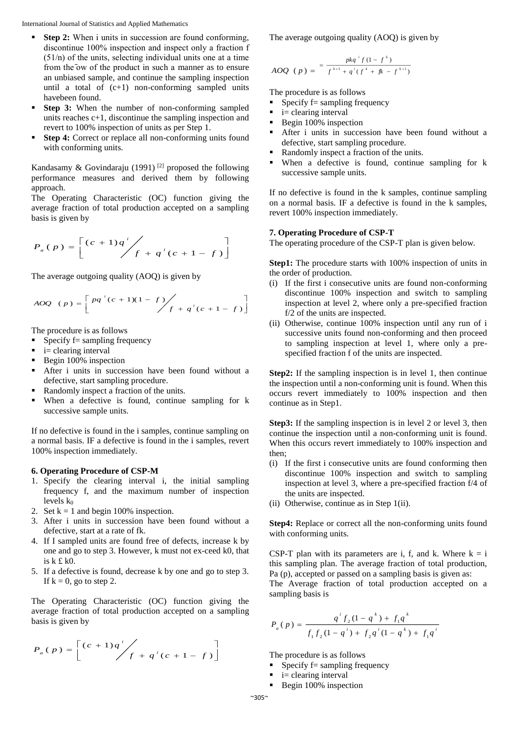International Journal of Statistics and Applied Mathematics

- **Step 2:** When i units in succession are found conforming, discontinue 100% inspection and inspect only a fraction f (51/n) of the units, selecting individual units one at a time from the ̄ow of the product in such a manner as to ensure an unbiased sample, and continue the sampling inspection until a total of  $(c+1)$  non-conforming sampled units havebeen found.
- **Step 3:** When the number of non-conforming sampled units reaches c+1, discontinue the sampling inspection and revert to 100% inspection of units as per Step 1.
- **Step 4:** Correct or replace all non-conforming units found with conforming units.

Kandasamy & Govindaraju (1991)<sup>[2]</sup> proposed the following performance measures and derived them by following approach.

The Operating Characteristic (OC) function giving the average fraction of total production accepted on a sampling basis is given by

$$
P_a(p) = \left[ \frac{(c+1)q^i}{f+q^i(c+1-f)} \right]
$$

The average outgoing quality (AOQ) is given by

$$
AOQ \ (p) = \left[ \begin{array}{c} pq^{i}(c+1)(1-f) \\ f + q^{i}(c+1-f) \end{array} \right]
$$

The procedure is as follows

- Specify f= sampling frequency
- i= clearing interval
- Begin 100% inspection
- After i units in succession have been found without a defective, start sampling procedure.
- Randomly inspect a fraction of the units.
- When a defective is found, continue sampling for k successive sample units.

If no defective is found in the i samples, continue sampling on a normal basis. IF a defective is found in the i samples, revert 100% inspection immediately.

### **6. Operating Procedure of CSP-M**

- 1. Specify the clearing interval i, the initial sampling frequency f, and the maximum number of inspection levels  $k_0$
- 2. Set  $k = 1$  and begin 100% inspection.
- 3. After i units in succession have been found without a defective, start at a rate of fk.
- 4. If I sampled units are found free of defects, increase k by one and go to step 3. However, k must not ex-ceed k0, that is  $k \nvert k \nvert$  k0.
- 5. If a defective is found, decrease k by one and go to step 3. If  $k = 0$ , go to step 2.

The Operating Characteristic (OC) function giving the average fraction of total production accepted on a sampling basis is given by

$$
P_a(p) = \left[ \frac{(c+1)q^{i}}{f + q^{i}(c+1-f)} \right]
$$

The average outgoing quality (AOQ) is given by

$$
AOQ (p) = \frac{pkq^{i}f(1-f^{k})}{f^{k+1} + q^{i}(f^{k} + fr - f^{k+1})}
$$

The procedure is as follows

- Specify  $f=$  sampling frequency
- i= clearing interval
- Begin 100% inspection
- After i units in succession have been found without a defective, start sampling procedure.
- Randomly inspect a fraction of the units.
- When a defective is found, continue sampling for k successive sample units.

If no defective is found in the k samples, continue sampling on a normal basis. IF a defective is found in the k samples, revert 100% inspection immediately.

#### **7. Operating Procedure of CSP-T**

The operating procedure of the CSP-T plan is given below.

**Step1:** The procedure starts with 100% inspection of units in the order of production.

- (i) If the first i consecutive units are found non-conforming discontinue 100% inspection and switch to sampling inspection at level 2, where only a pre-specified fraction f/2 of the units are inspected.
- (ii) Otherwise, continue 100% inspection until any run of i successive units found non-conforming and then proceed to sampling inspection at level 1, where only a prespecified fraction f of the units are inspected.

**Step2:** If the sampling inspection is in level 1, then continue the inspection until a non-conforming unit is found. When this occurs revert immediately to 100% inspection and then continue as in Step1.

**Step3:** If the sampling inspection is in level 2 or level 3, then continue the inspection until a non-conforming unit is found. When this occurs revert immediately to 100% inspection and then;

- (i) If the first i consecutive units are found conforming then discontinue 100% inspection and switch to sampling inspection at level 3, where a pre-specified fraction f/4 of the units are inspected.
- (ii) Otherwise, continue as in Step 1(ii).

**Step4:** Replace or correct all the non-conforming units found with conforming units.

CSP-T plan with its parameters are i, f, and k. Where  $k = i$ this sampling plan. The average fraction of total production, Pa (p), accepted or passed on a sampling basis is given as:

The Average fraction of total production accepted on a sampling basis is

$$
P_a(p) = \frac{q^{i} f_2 (1 - q^{k}) + f_1 q^{k}}{f_1 f_2 (1 - q^{i}) + f_2 q^{i} (1 - q^{k}) + f_1 q^{i}}
$$

The procedure is as follows

- Specify  $f=$  sampling frequency
- i= clearing interval
- Begin 100% inspection